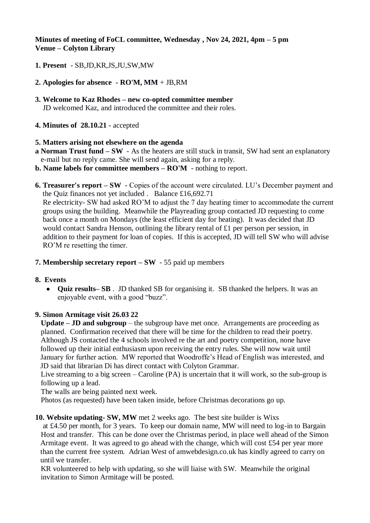# **Minutes of meeting of FoCL committee, Wednesday , Nov 24, 2021, 4pm – 5 pm Venue – Colyton Library**

- **1. Present**  SB,JD,KR,JS,JU,SW,MW
- **2. Apologies for absence - RO'M, MM** + JB,RM
- **3. Welcome to Kaz Rhodes – new co-opted committee member** JD welcomed Kaz, and introduced the committee and their roles.
- **4. Minutes of 28.10.21**  accepted

### **5. Matters arising not elsewhere on the agenda**

- **a Norman Trust fund – SW** As the heaters are still stuck in transit, SW had sent an explanatory e-mail but no reply came. She will send again, asking for a reply.
- **b. Name labels for committee members – RO'M**  nothing to report.
- **6. Treasurer's report – SW**  Copies of the account were circulated. LU's December payment and the Quiz finances not yet included . Balance £16,692.71

 Re electricity- SW had asked RO'M to adjust the 7 day heating timer to accommodate the current groups using the building. Meanwhile the Playreading group contacted JD requesting to come back once a month on Mondays (the least efficient day for heating). It was decided that JD would contact Sandra Henson, outlining the library rental of £1 per person per session, in addition to their payment for loan of copies. If this is accepted, JD will tell SW who will advise RO'M re resetting the timer.

#### **7. Membership secretary report – SW** - 55 paid up members

#### **8. Events**

 **Quiz results– SB** . JD thanked SB for organising it. SB thanked the helpers. It was an enjoyable event, with a good "buzz".

#### **9. Simon Armitage visit 26.03 22**

 **Update – JD and subgroup** – the subgroup have met once. Arrangements are proceeding as planned. Confirmation received that there will be time for the children to read their poetry. Although JS contacted the 4 schools involved re the art and poetry competition, none have followed up their initial enthusiasm upon receiving the entry rules. She will now wait until January for further action. MW reported that Woodroffe's Head of English was interested, and JD said that librarian Di has direct contact with Colyton Grammar.

 Live streaming to a big screen – Caroline (PA) is uncertain that it will work, so the sub-group is following up a lead.

The walls are being painted next week.

Photos (as requested) have been taken inside, before Christmas decorations go up.

#### **10. Website updating- SW, MW** met 2 weeks ago. The best site builder is Wixs

 at £4.50 per month, for 3 years. To keep our domain name, MW will need to log-in to Bargain Host and transfer. This can be done over the Christmas period, in place well ahead of the Simon Armitage event. It was agreed to go ahead with the change, which will cost £54 per year more than the current free system. Adrian West of amwebdesign.co.uk has kindly agreed to carry on until we transfer.

 KR volunteered to help with updating, so she will liaise with SW. Meanwhile the original invitation to Simon Armitage will be posted.